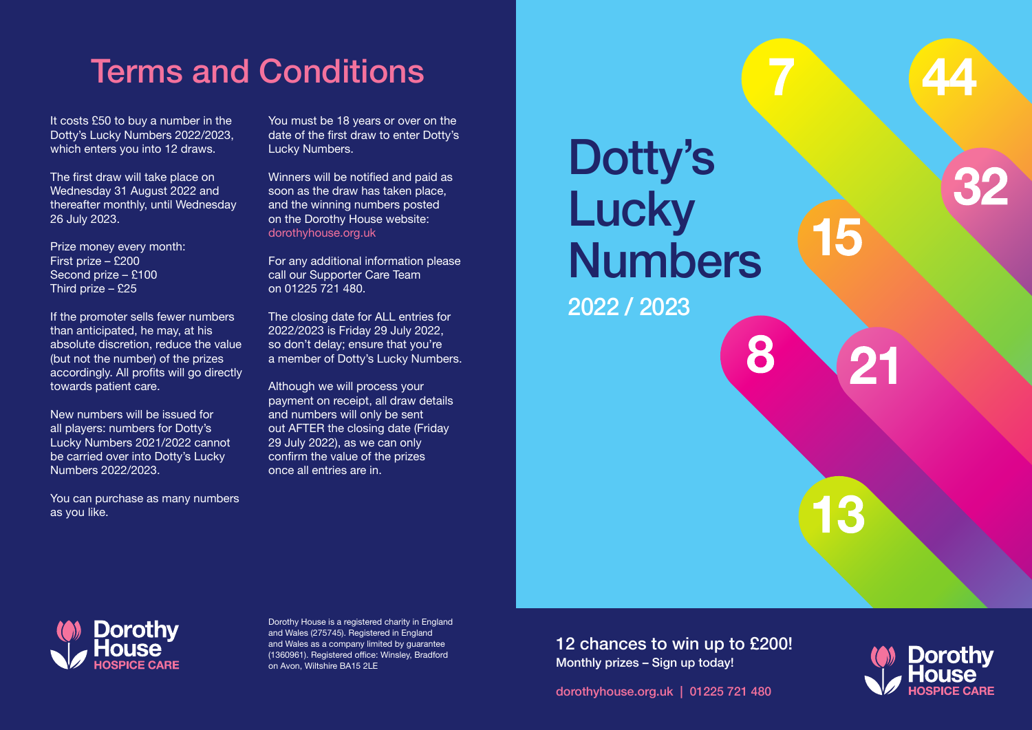# Terms and Conditions

It costs £50 to buy a number in the Dotty's Lucky Numbers 2022/2023, which enters you into 12 draws.

The first draw will take place on Wednesday 31 August 2022 and thereafter monthly, until Wednesday 26 July 2023.

Prize money every month: First prize – £200 Second prize – £100 Third prize – £25

If the promoter sells fewer numbers than anticipated, he may, at his absolute discretion, reduce the value (but not the number) of the prizes accordingly. All profits will go directly towards patient care.

New numbers will be issued for all players: numbers for Dotty's Lucky Numbers 2021/2022 cannot be carried over into Dotty's Lucky Numbers 2022/2023.

You can purchase as many numbers as you like.

You must be 18 years or over on the date of the first draw to enter Dotty's Lucky Numbers.

Winners will be notified and paid as soon as the draw has taken place, and the winning numbers posted on the Dorothy House website: dorothyhouse.org.uk

For any additional information please call our Supporter Care Team on 01225 721 480.

The closing date for ALL entries for 2022/2023 is Friday 29 July 2022, so don't delay; ensure that you're a member of Dotty's Lucky Numbers.

Although we will process your payment on receipt, all draw details and numbers will only be sent out AFTER the closing date (Friday 29 July 2022), as we can only confirm the value of the prizes once all entries are in.





Dorothy House is a registered charity in England and Wales (275745). Registered in England and Wales as a company limited by guarantee (1360961). Registered office: Winsley, Bradford on Avon, Wiltshire BA15 2LE

12 chances to win up to £200! Monthly prizes – Sign up today!

dorothyhouse.org.uk | 01225 721 480